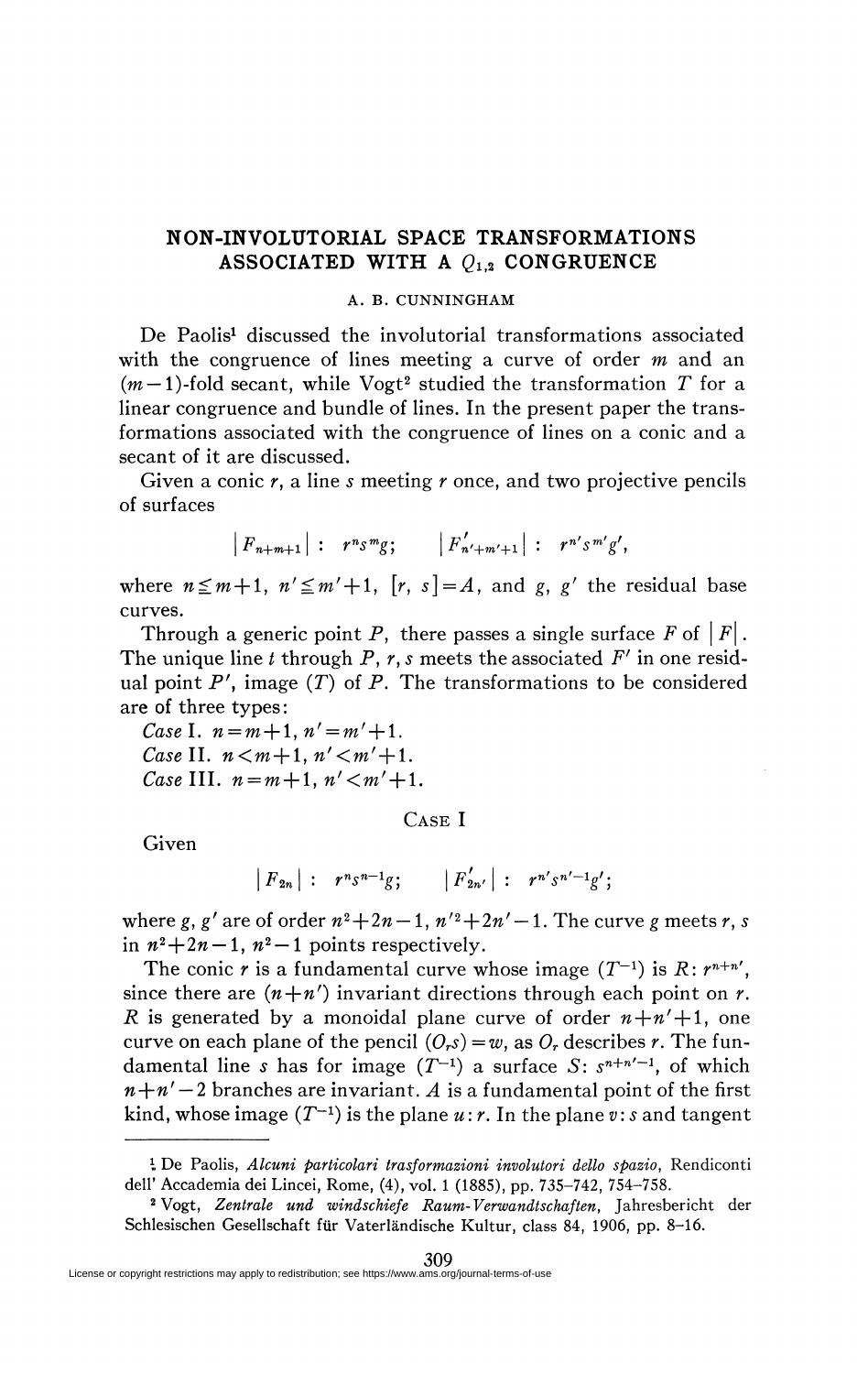## **NON-INVOLUTORIAL SPACE TRANSFORMATIONS ASSOCIATED WITH A**  $Q_{1,2}$  **CONGRUENCE**

## A. B. CUNNINGHAM

De Paolis<sup>1</sup> discussed the involutorial transformations associated with the congruence of lines meeting a curve of order *m* and an  $(m-1)$ -fold secant, while Vogt<sup>2</sup> studied the transformation T for a linear congruence and bundle of lines. In the present paper the transformations associated with the congruence of lines on a conic and a secant of it are discussed.

Given a conic *r,* a line *s* meeting *r* once, and two projective pencils of surfaces

$$
|F_{n+m+1}|
$$
:  $r^n s^m g$ ;  $|F'_{n'+m'+1}|$ :  $r^{n'} s^{m'} g'$ ,

where  $n \leq m+1$ ,  $n' \leq m'+1$ ,  $[r, s]=A$ , and *g*, *g'* the residual base curves.

Through a generic point P, there passes a single surface  $F$  of  $|F|$ . The unique line *t* through P, r, s meets the associated *F'* in one residual point  $P'$ , image  $(T)$  of  $P$ . The transformations to be considered are of three types :

*Case I.*  $n = m + 1, n' = m' + 1$ . *Case* II.  $n < m+1$ ,  $n' < m'+1$ . *Case* III.  $n = m + 1$ ,  $n' < m' + 1$ .

CASE I

Given

$$
|F_{2n}|: r^{n} s^{n-1} g; |F'_{2n'}|: r^{n'} s^{n'-1} g';
$$

where g, g' are of order  $n^2+2n-1$ ,  $n'^2+2n'-1$ . The curve g meets r, s in  $n^2+2n-1$ ,  $n^2-1$  points respectively.

The conic r is a fundamental curve whose image  $(T^{-1})$  is  $R: r^{n+n'}$ , since there are  $(n+n')$  invariant directions through each point on *r*. *R* is generated by a monoidal plane curve of order  $n+n'+1$ , one curve on each plane of the pencil  $(O_r s) = w$ , as  $O_r$  describes  $r$ . The fundamental line *s* has for image  $(T^{-1})$  a surface *S*:  $s^{n+n'-1}$ , of which  $n+n'-2$  branches are invariant. A is a fundamental point of the first kind, whose image  $(T^{-1})$  is the plane  $u$  :  $r$ . In the plane  $v$  :  $s$  and tangent

*<sup>1</sup>* De Paolis, *Alcuni particolari trasformazioni involutori dello spazio,* Rendiconti dell' Accademia dei Lincei, Rome, (4), vol. 1 (1885), pp. 735-742, 754-758.

<sup>2</sup> Vogt, *Zentrale und windschiefe Raum-Verwandtschaften,* Jahresbericht der Schlesischen Gesellschaft fur Vaterlândische Kultur, class 84, 1906, pp. 8-16.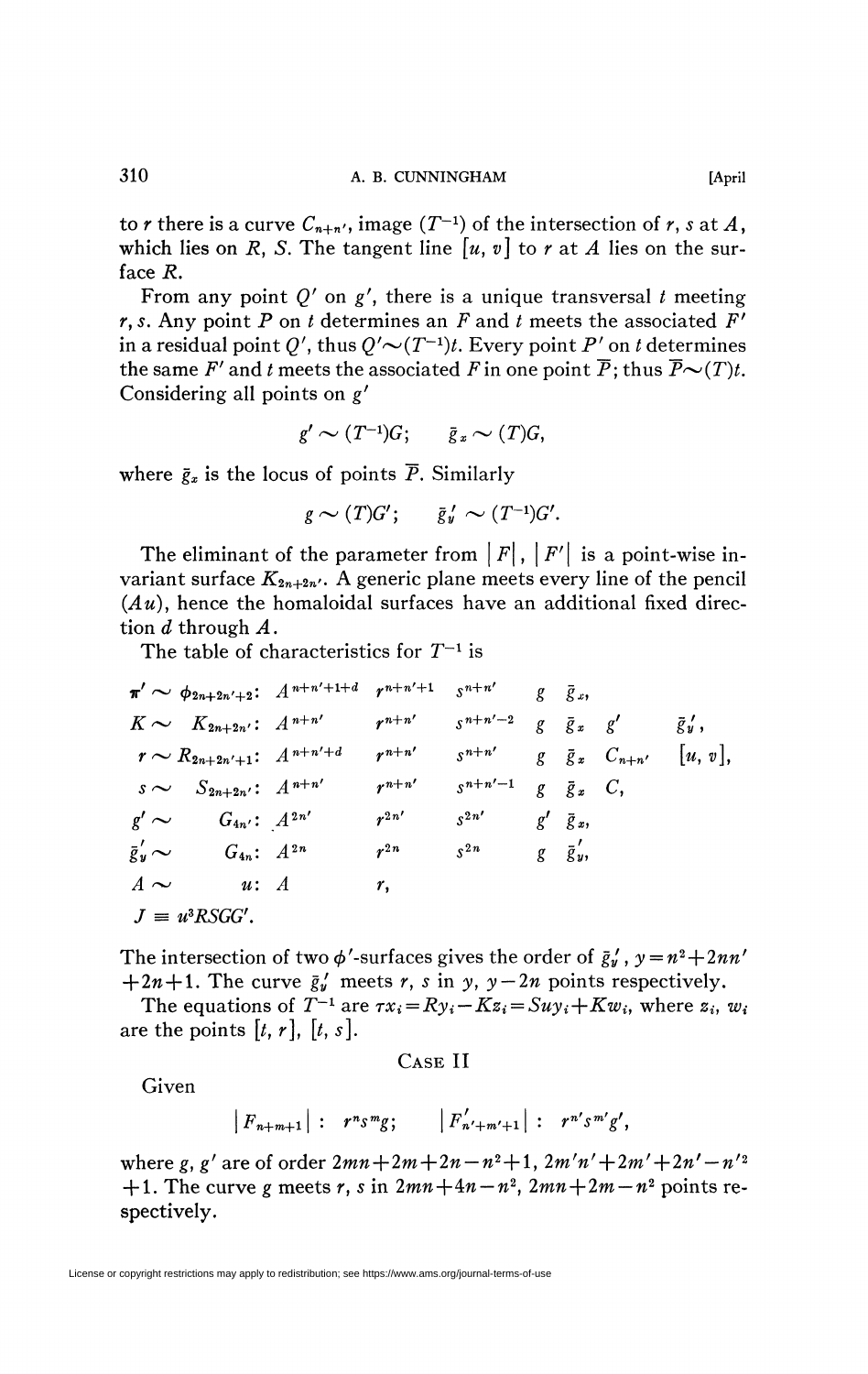to *r* there is a curve  $C_{n+n}$ , image  $(T^{-1})$  of the intersection of *r*, *s* at *A*, which lies on R, S. The tangent line  $[u, v]$  to r at A lies on the surface *R.* 

From any point  $Q'$  on  $g'$ , there is a unique transversal  $t$  meeting  $r, s$ . Any point P on t determines an F and t meets the associated  $F'$ in a residual point  $Q'$ , thus  $Q' \sim (T^{-1}) t$ . Every point P' on t determines the same F' and t meets the associated F in one point  $\overline{P}$ ; thus  $\overline{P} \sim (T)t$ . Considering all points on g'

$$
g' \sim (T^{-1})G; \qquad \bar{g}_x \sim (T)G,
$$

where  $\bar{g}_x$  is the locus of points  $\bar{P}$ . Similarly

$$
g \sim (T)G'; \qquad \bar{g}'_y \sim (T^{-1})G'.
$$

The eliminant of the parameter from  $|F|$ ,  $|F'|$  is a point-wise invariant surface  $K_{2n+2n'}$ . A generic plane meets every line of the pencil  $(Au)$ , hence the homaloidal surfaces have an additional fixed direction *d* through *A*.

The table of characteristics for  $T^{-1}$  is

$$
\pi' \sim \phi_{2n+2n'+2}: A^{n+n'+1+d} r^{n+n'+1} s^{n+n'} g \bar{g}_{x},
$$
  
\n
$$
K \sim K_{2n+2n'}: A^{n+n'} r^{n+n'} s^{n+n'-2} g \bar{g}_{x} g' \bar{g}'_{y},
$$
  
\n
$$
r \sim R_{2n+2n'+1}: A^{n+n'+d} r^{n+n'} s^{n+n'} g \bar{g}_{x} C_{n+n'} [u, v],
$$
  
\n
$$
s \sim S_{2n+2n'}: A^{n+n'} r^{n+n'} s^{n+n'-1} g \bar{g}_{x} C,
$$
  
\n
$$
g' \sim G_{4n'}: A^{2n'} r^{2n'} s^{2n'} g' \bar{g}_{x},
$$
  
\n
$$
\bar{g}_{y} \sim G_{4n}: A^{2n} r^{2n} s^{2n} g \bar{g}_{y},
$$
  
\n
$$
A \sim u: A
$$
  
\n
$$
J \equiv u^{3} \text{RSGG'}.
$$

The intersection of two  $\phi'$ -surfaces gives the order of  $\bar{g}'_y$ ,  $y = n^2 + 2nn'$  $+2n+1$ . The curve  $\bar{g}'_y$  meets r, s in y,  $y-2n$  points respectively.

The equations of  $T^{-1}$  are  $\tau x_i = R y_i - K z_i = S u y_i + K w_i$ , where  $z_i, w_i$ are the points  $[t, r]$ ,  $[t, s]$ .

CASE II

Given

$$
|F_{n+m+1}|
$$
:  $r^n s^m g$ ;  $|F'_{n'+m'+1}|$ :  $r^{n'} s^{m'} g'$ ,

where *g*, *g'* are of order  $2mn + 2m + 2n - n^2 + 1$ ,  $2m'n' + 2m' + 2n' - n'^2$  $+1$ . The curve g meets r, s in  $2mn+4n-n^2$ ,  $2mn+2m-n^2$  points respectively.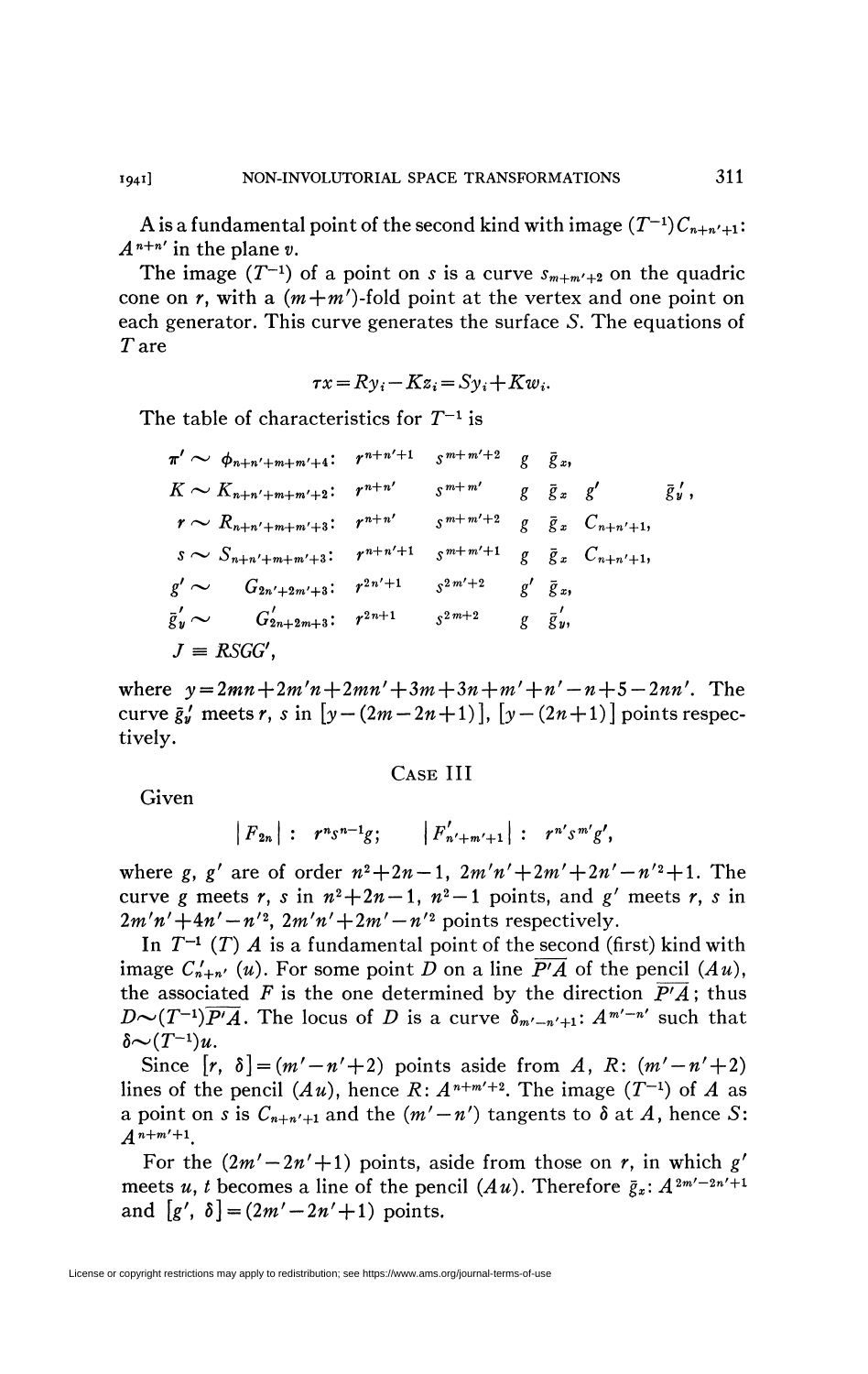A is a fundamental point of the second kind with image  $(T^{-1})C_{n+n'+1}$ :  $A^{n+n'}$  in the plane v.

The image  $(T^{-1})$  of a point on *s* is a curve  $s_{m+m'+2}$  on the quadric cone on  $r$ , with a  $(m+m')$ -fold point at the vertex and one point on each generator. This curve generates the surface *S.* The equations of Tare

$$
\tau x = R y_i - K z_i = S y_i + K w_i.
$$

The table of characteristics for *T~<sup>l</sup>* is

| $\pi' \sim \phi_{n+n'+m+m'+4}$ : |                   | $r^{n+n'+1}$ | $s^{m+m'+2}$       | g | $\bar{g}_x$        |                                       |                  |
|----------------------------------|-------------------|--------------|--------------------|---|--------------------|---------------------------------------|------------------|
| $K \sim K_{n+n'+m+m'+2}$ :       |                   | $r^{n+n'}$   | $\zeta$ m+m'       | g | $\bar{g}_x$ $g'$   |                                       | $\bar{g}'_{y}$ , |
| $r \sim R_{n+n'+m+m'+3}$ :       |                   | $r^{n+n'}$   | $\frac{m+m'+2}{2}$ |   |                    | $g \bar{g}_x C_{n+n'+1},$             |                  |
| $S \sim S_{n+n'+m+m'+3}$ :       |                   | $r^{n+n'+1}$ | $\frac{m+m'+1}{2}$ |   |                    | $g \quad \bar{g}_x \quad C_{n+n'+1},$ |                  |
| $g' \sim$                        | $G_{2n'+2m'+3}$ : | $r^{2n'+1}$  | $s^{2m'+2}$        |   | $g'$ $\bar{g}_x$ , |                                       |                  |
| $\bar{g}'_{u}$ $\sim$            | $G'_{2n+2m+3}$ :  | $r^{2n+1}$   | $s^{2m+2}$         |   | $g \bar{g}'$       |                                       |                  |
| $J = RSGG',$                     |                   |              |                    |   |                    |                                       |                  |

where  $y = 2mn + 2m'n + 2mn' + 3m + 3n + m' + n' - n + 5 - 2nn'$ . The curve  $\bar{g}'_y$  meets r, s in  $[y-(2m-2n+1)]$ ,  $[y-(2n+1)]$  points respectively.

## CASE III

Given

$$
|F_{2n}|: r^n s^{n-1}g;
$$
  $|F'_{n'+m'+1}|: r^{n'} s^{m'}g',$ 

where *g*, *g'* are of order  $n^2 + 2n - 1$ ,  $2m'n' + 2m' + 2n' - n'^2 + 1$ . The curve g meets r, s in  $n^2+2n-1$ ,  $n^2-1$  points, and g' meets r, s in  $2m'n'+4n'-n'^2$ ,  $2m'n'+2m'-n'^2$  points respectively.

In  $T^{-1}$  (T)  $\vec{A}$  is a fundamental point of the second (first) kind with image  $C'_{n+n'}(u)$ . For some point D on a line  $\overline{P'A}$  of the pencil  $(Au)$ , the associated F is the one determined by the direction  $\overline{P'A}$ ; thus  $D \sim (T^{-1})\overline{P'A}$ . The locus of *D* is a curve  $\delta_{m'-n'+1}: A^{m'-n'}$  such that  $\delta \sim (T^{-1})$ 

Since  $[r, \delta] = (m'-n'+2)$  points aside from A, R:  $(m'-n'+2)$ lines of the pencil  $(Au)$ , hence  $R: A^{n+m'+2}$ . The image  $(T^{-1})$  of  $A$  as a point on *s* is  $C_{n+n'+1}$  and the  $(m'-n')$  tangents to  $\delta$  at  $A$ , hence  $S$ :

For the  $(2m' - 2n' + 1)$  points, aside from those on *r*, in which  $g'$ meets *u*, *t* becomes a line of the pencil  $(Au)$ . Therefore  $\bar{g}_x$ :  $A^{2m'-2n'+1}$ and  $[g', \delta] = (2m' - 2n' + 1)$  points.